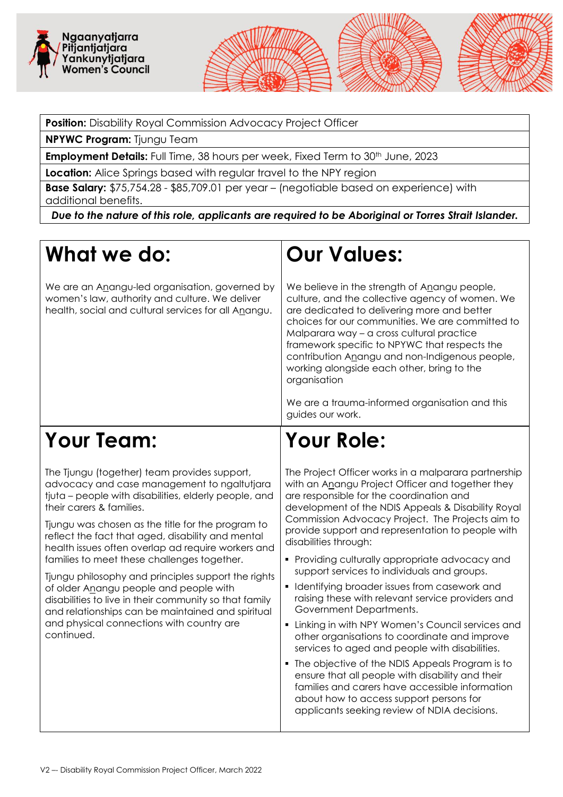



**NPYWC Program:** Tjungu Team

**Employment Details:** Full Time, 38 hours per week, Fixed Term to 30<sup>th</sup> June, 2023

**Location:** Alice Springs based with regular travel to the NPY region

**Base Salary:** \$75,754.28 - \$85,709.01 per year – (negotiable based on experience) with additional benefits.

*Due to the nature of this role, applicants are required to be Aboriginal or Torres Strait Islander.*

## **What we do:**

We are an Anangu-led organisation, governed by women's law, authority and culture. We deliver health, social and cultural services for all Anangu.

### **Our Values:**

We believe in the strength of Anangu people, culture, and the collective agency of women. We are dedicated to delivering more and better choices for our communities. We are committed to Malparara way – a cross cultural practice framework specific to NPYWC that respects the contribution Anangu and non-Indigenous people, working alongside each other, bring to the organisation

We are a trauma-informed organisation and this guides our work.

### **Your Team:**

The Tjungu (together) team provides support, advocacy and case management to ngaltutjara tjuta – people with disabilities, elderly people, and their carers & families.

Tjungu was chosen as the title for the program to reflect the fact that aged, disability and mental health issues often overlap ad require workers and families to meet these challenges together.

Tjungu philosophy and principles support the rights of older Anangu people and people with disabilities to live in their community so that family and relationships can be maintained and spiritual and physical connections with country are continued.

# **Your Role:**

The Project Officer works in a malparara partnership with an Anangu Project Officer and together they are responsible for the coordination and development of the NDIS Appeals & Disability Royal Commission Advocacy Project. The Projects aim to provide support and representation to people with disabilities through:

- **Providing culturally appropriate advocacy and** support services to individuals and groups.
- **I** Identifying broader issues from casework and raising these with relevant service providers and Government Departments.
- **EXTER 11 In Linking in with NPY Women's Council services and** other organisations to coordinate and improve services to aged and people with disabilities.
- **The objective of the NDIS Appeals Program is to** ensure that all people with disability and their families and carers have accessible information about how to access support persons for applicants seeking review of NDIA decisions.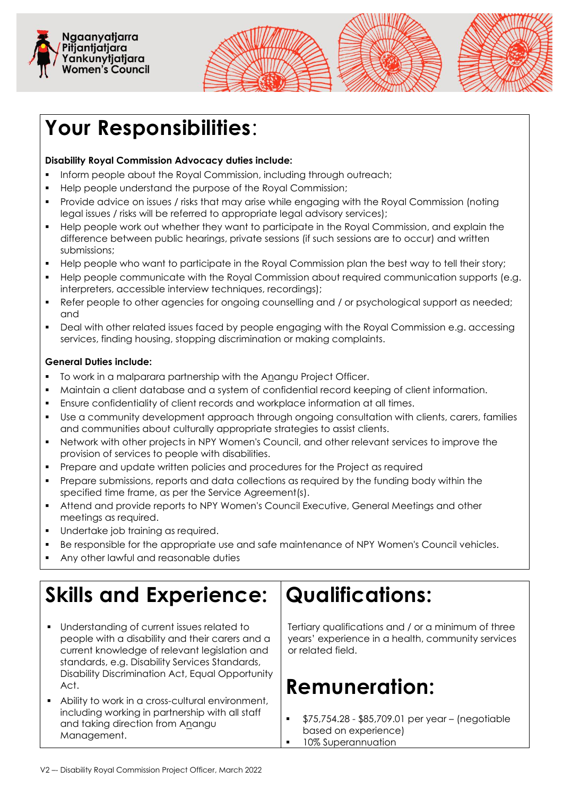



# **Your Responsibilities**:

#### **Disability Royal Commission Advocacy duties include:**

- Inform people about the Royal Commission, including through outreach:
- Help people understand the purpose of the Royal Commission;
- Provide advice on issues / risks that may arise while engaging with the Royal Commission (noting legal issues / risks will be referred to appropriate legal advisory services);
- Help people work out whether they want to participate in the Royal Commission, and explain the difference between public hearings, private sessions (if such sessions are to occur) and written submissions;
- Help people who want to participate in the Royal Commission plan the best way to tell their story;
- Help people communicate with the Royal Commission about required communication supports (e.g. interpreters, accessible interview techniques, recordings);
- Refer people to other agencies for ongoing counselling and / or psychological support as needed; and
- Deal with other related issues faced by people engaging with the Royal Commission e.g. accessing services, finding housing, stopping discrimination or making complaints.

#### **General Duties include:**

- To work in a malparara partnership with the Anangu Project Officer.
- Maintain a client database and a system of confidential record keeping of client information.
- Ensure confidentiality of client records and workplace information at all times.
- Use a community development approach through ongoing consultation with clients, carers, families and communities about culturally appropriate strategies to assist clients.
- Network with other projects in NPY Women's Council, and other relevant services to improve the provision of services to people with disabilities.
- Prepare and update written policies and procedures for the Project as required
- Prepare submissions, reports and data collections as required by the funding body within the specified time frame, as per the Service Agreement(s).
- Attend and provide reports to NPY Women's Council Executive, General Meetings and other meetings as required.
- Undertake job training as required.
- Be responsible for the appropriate use and safe maintenance of NPY Women's Council vehicles.
- Any other lawful and reasonable duties

# **Skills and Experience:**

- Understanding of current issues related to people with a disability and their carers and a current knowledge of relevant legislation and standards, e.g. Disability Services Standards, Disability Discrimination Act, Equal Opportunity Act.
- Ability to work in a cross-cultural environment, including working in partnership with all staff and taking direction from Anangu Management.

## **Qualifications:**

Tertiary qualifications and / or a minimum of three years' experience in a health, community services or related field.

## **Remuneration:**

- \$75,754.28 \$85,709.01 per year (negotiable based on experience)
- 10% Superannuation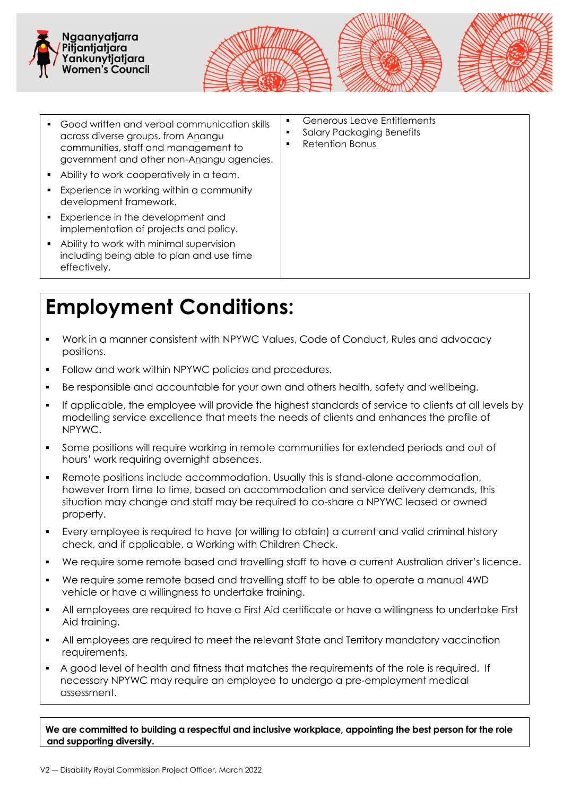





- Good written and verbal communication skills across diverse groups, from Anangu communities, staff and management to government and other non-Anangu agencies.
- Ability to work cooperatively in a team.
- **Experience in working within a community** development framework.
- Experience in the development and implementation of projects and policy.
- Ability to work with minimal supervision including being able to plan and use time effectively.

 Generous Leave Entitlements **Salary Packaging Benefits** 

**Retention Bonus** 

### **Employment Conditions:**

- Work in a manner consistent with NPYWC Values, Code of Conduct, Rules and advocacy positions.
- Follow and work within NPYWC policies and procedures.
- Be responsible and accountable for your own and others health, safety and wellbeing.
- If applicable, the employee will provide the highest standards of service to clients at all levels by modelling service excellence that meets the needs of clients and enhances the profile of NPYWC.
- Some positions will require working in remote communities for extended periods and out of hours' work requiring overnight absences.
- Remote positions include accommodation. Usually this is stand-alone accommodation, however from time to time, based on accommodation and service delivery demands, this situation may change and staff may be required to co-share a NPYWC leased or owned property.
- Every employee is required to have (or willing to obtain) a current and valid criminal history check, and if applicable, a Working with Children Check.
- We require some remote based and travelling staff to have a current Australian driver's licence.
- We require some remote based and travelling staff to be able to operate a manual 4WD vehicle or have a willingness to undertake training.
- All employees are required to have a First Aid certificate or have a willingness to undertake First Aid training.
- All employees are required to meet the relevant State and Territory mandatory vaccination requirements.
- A good level of health and fitness that matches the requirements of the role is required. If necessary NPYWC may require an employee to undergo a pre-employment medical assessment.

**We are committed to building a respectful and inclusive workplace, appointing the best person for the role and supporting diversity.**